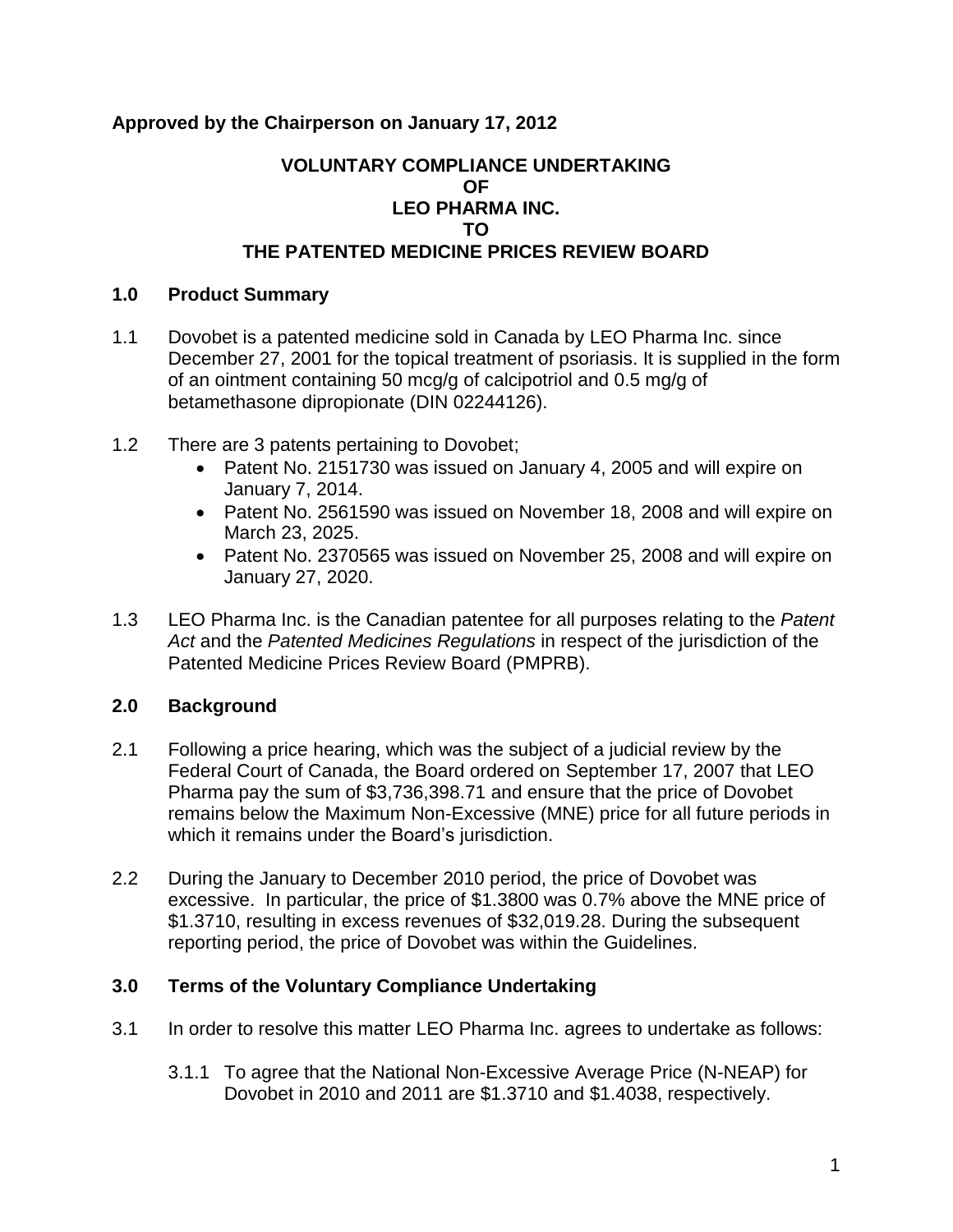# **Approved by the Chairperson on January 17, 2012**

### **VOLUNTARY COMPLIANCE UNDERTAKING OF LEO PHARMA INC. TO THE PATENTED MEDICINE PRICES REVIEW BOARD**

### **1.0 Product Summary**

- 1.1 Dovobet is a patented medicine sold in Canada by LEO Pharma Inc. since December 27, 2001 for the topical treatment of psoriasis. It is supplied in the form of an ointment containing 50 mcg/g of calcipotriol and 0.5 mg/g of betamethasone dipropionate (DIN 02244126).
- 1.2 There are 3 patents pertaining to Dovobet;
	- Patent No. 2151730 was issued on January 4, 2005 and will expire on January 7, 2014.
	- Patent No. 2561590 was issued on November 18, 2008 and will expire on March 23, 2025.
	- Patent No. 2370565 was issued on November 25, 2008 and will expire on January 27, 2020.
- 1.3 LEO Pharma Inc. is the Canadian patentee for all purposes relating to the *Patent Act* and the *Patented Medicines Regulations* in respect of the jurisdiction of the Patented Medicine Prices Review Board (PMPRB).

# **2.0 Background**

- 2.1 Following a price hearing, which was the subject of a judicial review by the Federal Court of Canada, the Board ordered on September 17, 2007 that LEO Pharma pay the sum of \$3,736,398.71 and ensure that the price of Dovobet remains below the Maximum Non-Excessive (MNE) price for all future periods in which it remains under the Board's jurisdiction.
- 2.2 During the January to December 2010 period, the price of Dovobet was excessive. In particular, the price of \$1.3800 was 0.7% above the MNE price of \$1.3710, resulting in excess revenues of \$32,019.28. During the subsequent reporting period, the price of Dovobet was within the Guidelines.

#### **3.0 Terms of the Voluntary Compliance Undertaking**

- 3.1 In order to resolve this matter LEO Pharma Inc. agrees to undertake as follows:
	- 3.1.1 To agree that the National Non-Excessive Average Price (N-NEAP) for Dovobet in 2010 and 2011 are \$1.3710 and \$1.4038, respectively.